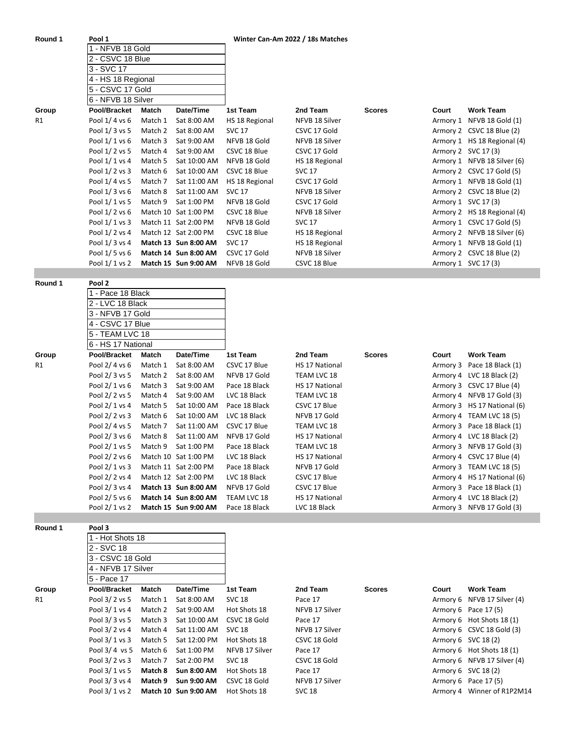| Round 1 | Pool 1<br>1 - NFVB 18 Gold<br>2 - CSVC 18 Blue<br>3 - SVC 17<br>4 - HS 18 Regional<br>5 - CSVC 17 Gold<br>6 - NFVB 18 Silver |         |                      | Winter Can-Am 2022 / 18s Matches |                |               |       |                             |
|---------|------------------------------------------------------------------------------------------------------------------------------|---------|----------------------|----------------------------------|----------------|---------------|-------|-----------------------------|
|         |                                                                                                                              |         |                      |                                  |                |               |       |                             |
|         |                                                                                                                              |         |                      |                                  |                |               |       |                             |
|         |                                                                                                                              |         |                      |                                  |                |               |       |                             |
|         |                                                                                                                              |         |                      |                                  |                |               |       |                             |
|         |                                                                                                                              |         |                      |                                  |                |               |       |                             |
|         |                                                                                                                              |         |                      |                                  |                |               |       |                             |
| Group   | Pool/Bracket                                                                                                                 | Match   | Date/Time            | 1st Team                         | 2nd Team       | <b>Scores</b> | Court | <b>Work Team</b>            |
| R1      | Pool 1/4 vs 6                                                                                                                | Match 1 | Sat 8:00 AM          | HS 18 Regional                   | NFVB 18 Silver |               |       | Armory 1 NFVB 18 Gold (1)   |
|         | Pool 1/3 vs 5                                                                                                                | Match 2 | Sat 8:00 AM          | <b>SVC 17</b>                    | CSVC 17 Gold   |               |       | Armory 2 CSVC 18 Blue (2)   |
|         | Pool 1/ 1 vs 6                                                                                                               | Match 3 | Sat 9:00 AM          | NFVB 18 Gold                     | NFVB 18 Silver |               |       | Armory 1 HS 18 Regional (4) |
|         | Pool 1/2 vs 5                                                                                                                | Match 4 | Sat 9:00 AM          | CSVC 18 Blue                     | CSVC 17 Gold   |               |       | Armory 2 SVC 17 (3)         |
|         | Pool 1/ 1 vs 4                                                                                                               | Match 5 | Sat 10:00 AM         | NFVB 18 Gold                     | HS 18 Regional |               |       | Armory 1 NFVB 18 Silver (6) |
|         | Pool 1/2 vs 3                                                                                                                | Match 6 | Sat 10:00 AM         | CSVC 18 Blue                     | <b>SVC 17</b>  |               |       | Armory 2 CSVC 17 Gold (5)   |
|         | Pool 1/4 vs 5                                                                                                                | Match 7 | Sat 11:00 AM         | HS 18 Regional                   | CSVC 17 Gold   |               |       | Armory 1 NFVB 18 Gold (1)   |
|         | Pool 1/3 vs 6                                                                                                                | Match 8 | Sat 11:00 AM         | <b>SVC 17</b>                    | NFVB 18 Silver |               |       | Armory 2 CSVC 18 Blue (2)   |
|         | Pool 1/1 vs 5                                                                                                                | Match 9 | Sat 1:00 PM          | NFVB 18 Gold                     | CSVC 17 Gold   |               |       | Armory 1 SVC 17(3)          |
|         | Pool 1/ 2 vs 6                                                                                                               |         | Match 10 Sat 1:00 PM | CSVC 18 Blue                     | NFVB 18 Silver |               |       | Armory 2 HS 18 Regional (4) |
|         | Pool 1/ 1 vs 3                                                                                                               |         | Match 11 Sat 2:00 PM | NFVB 18 Gold                     | <b>SVC 17</b>  |               |       | Armory 1 CSVC 17 Gold (5)   |
|         | Pool 1/2 vs 4                                                                                                                |         | Match 12 Sat 2:00 PM | CSVC 18 Blue                     | HS 18 Regional |               |       | Armory 2 NFVB 18 Silver (6) |
|         | Pool 1/3 vs 4                                                                                                                |         | Match 13 Sun 8:00 AM | <b>SVC 17</b>                    | HS 18 Regional |               |       | Armory 1 NFVB 18 Gold (1)   |
|         | Pool 1/5 vs 6                                                                                                                |         | Match 14 Sun 8:00 AM | CSVC 17 Gold                     | NFVB 18 Silver |               |       | Armory 2 CSVC 18 Blue (2)   |
|         | Pool 1/ 1 vs 2                                                                                                               |         | Match 15 Sun 9:00 AM | NFVB 18 Gold                     | CSVC 18 Blue   |               |       | Armory 1 SVC 17 (3)         |

**Round 1** 

| Round 1 | Pool 2         |                                                                               |                      |               |                |               |          |                             |  |  |  |
|---------|----------------|-------------------------------------------------------------------------------|----------------------|---------------|----------------|---------------|----------|-----------------------------|--|--|--|
|         |                | 1 - Pace 18 Black                                                             |                      |               |                |               |          |                             |  |  |  |
|         |                | 2 - LVC 18 Black                                                              |                      |               |                |               |          |                             |  |  |  |
|         |                | 3 - NFVB 17 Gold<br>4 - CSVC 17 Blue<br>5 - TEAM LVC 18<br>6 - HS 17 National |                      |               |                |               |          |                             |  |  |  |
|         |                |                                                                               |                      |               |                |               |          |                             |  |  |  |
|         |                |                                                                               |                      |               |                |               |          |                             |  |  |  |
|         |                |                                                                               |                      |               |                |               |          |                             |  |  |  |
| Group   | Pool/Bracket   | Match                                                                         | Date/Time            | 1st Team      | 2nd Team       | <b>Scores</b> | Court    | <b>Work Team</b>            |  |  |  |
| R1      | Pool 2/4 vs 6  | Match 1                                                                       | Sat 8:00 AM          | CSVC 17 Blue  | HS 17 National |               | Armory 3 | Pace 18 Black (1)           |  |  |  |
|         | Pool 2/3 vs 5  | Match 2                                                                       | Sat 8:00 AM          | NFVB 17 Gold  | TEAM LVC 18    |               |          | Armory 4 LVC 18 Black (2)   |  |  |  |
|         | Pool 2/1 vs 6  | Match 3                                                                       | Sat 9:00 AM          | Pace 18 Black | HS 17 National |               |          | Armory 3 CSVC 17 Blue (4)   |  |  |  |
|         | Pool 2/2 vs 5  | Match 4                                                                       | Sat 9:00 AM          | LVC 18 Black  | TEAM LVC 18    |               |          | Armory 4 NFVB 17 Gold (3)   |  |  |  |
|         | Pool 2/1 vs 4  | Match 5                                                                       | Sat 10:00 AM         | Pace 18 Black | CSVC 17 Blue   |               |          | Armory 3 HS 17 National (6) |  |  |  |
|         | Pool 2/2 vs 3  | Match 6                                                                       | Sat 10:00 AM         | LVC 18 Black  | NFVB 17 Gold   |               |          | Armory 4 TEAM LVC 18 (5)    |  |  |  |
|         | Pool 2/4 vs 5  | Match 7                                                                       | Sat 11:00 AM         | CSVC 17 Blue  | TEAM LVC 18    |               |          | Armory 3 Pace 18 Black (1)  |  |  |  |
|         | Pool 2/3 vs 6  | Match 8                                                                       | Sat 11:00 AM         | NFVB 17 Gold  | HS 17 National |               |          | Armory 4 LVC 18 Black (2)   |  |  |  |
|         | Pool 2/1 vs 5  | Match 9                                                                       | Sat 1:00 PM          | Pace 18 Black | TEAM LVC 18    |               |          | Armory 3 NFVB 17 Gold (3)   |  |  |  |
|         | Pool 2/2 vs 6  |                                                                               | Match 10 Sat 1:00 PM | LVC 18 Black  | HS 17 National |               |          | Armory 4 CSVC 17 Blue (4)   |  |  |  |
|         | Pool 2/ 1 vs 3 |                                                                               | Match 11 Sat 2:00 PM | Pace 18 Black | NFVB 17 Gold   |               |          | Armory 3 TEAM LVC 18 (5)    |  |  |  |
|         | Pool 2/2 vs 4  |                                                                               | Match 12 Sat 2:00 PM | LVC 18 Black  | CSVC 17 Blue   |               |          | Armory 4 HS 17 National (6) |  |  |  |
|         | Pool 2/ 3 vs 4 |                                                                               | Match 13 Sun 8:00 AM | NFVB 17 Gold  | CSVC 17 Blue   |               |          | Armory 3 Pace 18 Black (1)  |  |  |  |
|         | Pool 2/ 5 vs 6 |                                                                               | Match 14 Sun 8:00 AM | TEAM LVC 18   | HS 17 National |               |          | Armory 4 LVC 18 Black (2)   |  |  |  |
|         | Pool 2/1 vs 2  |                                                                               | Match 15 Sun 9:00 AM | Pace 18 Black | LVC 18 Black   |               |          | Armory 3 NFVB 17 Gold (3)   |  |  |  |

**Round 1 Pool 3**

|       | - Hot Shots 18     |                  |                             |                |                |               |       |                             |
|-------|--------------------|------------------|-----------------------------|----------------|----------------|---------------|-------|-----------------------------|
|       | 2 - SVC 18         | 3 - CSVC 18 Gold |                             |                |                |               |       |                             |
|       |                    |                  |                             |                |                |               |       |                             |
|       | 4 - NFVB 17 Silver |                  |                             |                |                |               |       |                             |
|       | 5 - Pace 17        |                  |                             |                |                |               |       |                             |
| Group | Pool/Bracket       | Match            | Date/Time                   | 1st Team       | 2nd Team       | <b>Scores</b> | Court | <b>Work Team</b>            |
| R1    | Pool 3/ 2 vs 5     | Match 1          | Sat 8:00 AM                 | <b>SVC 18</b>  | Pace 17        |               |       | Armory 6 NFVB 17 Silver (4) |
|       | Pool 3/1 vs 4      | Match 2          | Sat 9:00 AM                 | Hot Shots 18   | NFVB 17 Silver |               |       | Armory 6 Pace 17(5)         |
|       | Pool 3/3 vs 5      | Match 3          | Sat 10:00 AM                | CSVC 18 Gold   | Pace 17        |               |       | Armory 6 Hot Shots 18 (1)   |
|       | Pool 3/ 2 vs 4     | Match 4          | Sat 11:00 AM                | <b>SVC 18</b>  | NFVB 17 Silver |               |       | Armory 6 CSVC 18 Gold (3)   |
|       | Pool 3/1 vs 3      | Match 5          | Sat 12:00 PM                | Hot Shots 18   | CSVC 18 Gold   |               |       | Armory 6 SVC 18 (2)         |
|       | Pool $3/4$ vs 5    | Match 6          | Sat 1:00 PM                 | NFVB 17 Silver | Pace 17        |               |       | Armory 6 Hot Shots 18 (1)   |
|       | Pool 3/ 2 vs 3     | Match 7          | Sat 2:00 PM                 | <b>SVC 18</b>  | CSVC 18 Gold   |               |       | Armory 6 NFVB 17 Silver (4) |
|       | Pool 3/1 vs 5      | Match 8          | <b>Sun 8:00 AM</b>          | Hot Shots 18   | Pace 17        |               |       | Armory 6 SVC 18 (2)         |
|       | Pool 3/3 vs 4      | Match 9          | <b>Sun 9:00 AM</b>          | CSVC 18 Gold   | NFVB 17 Silver |               |       | Armory 6 Pace 17(5)         |
|       | Pool 3/ 1 vs 2     |                  | <b>Match 10 Sun 9:00 AM</b> | Hot Shots 18   | <b>SVC 18</b>  |               |       | Armory 4 Winner of R1P2M14  |

| 2nd Team       | <b>Scores</b> |
|----------------|---------------|
| Pace 17        |               |
| NFVB 17 Silver |               |
| Pace 17        |               |
| NFVB 17 Silver |               |
| CSVC 18 Gold   |               |
| Pace 17        |               |
| CSVC 18 Gold   |               |
| Pace 17        |               |
| NFVB 17 Silver |               |
| .              |               |

| Court    | Work Team               |
|----------|-------------------------|
| Armory 6 | NFVB 17 Silver (4)      |
| Armory 6 | Pace 17 (5)             |
| Armory 6 | Hot Shots 18 (1)        |
| Armory 6 | <b>CSVC 18 Gold (3)</b> |
| Armory 6 | SVC 18 (2)              |
| Armory 6 | Hot Shots 18 (1)        |
| Armory 6 | NFVB 17 Silver (4)      |
| Armory 6 | SVC 18 (2)              |
| Armory 6 | Pace 17 (5)             |
| Armory 4 | Winner of R1P2M14       |